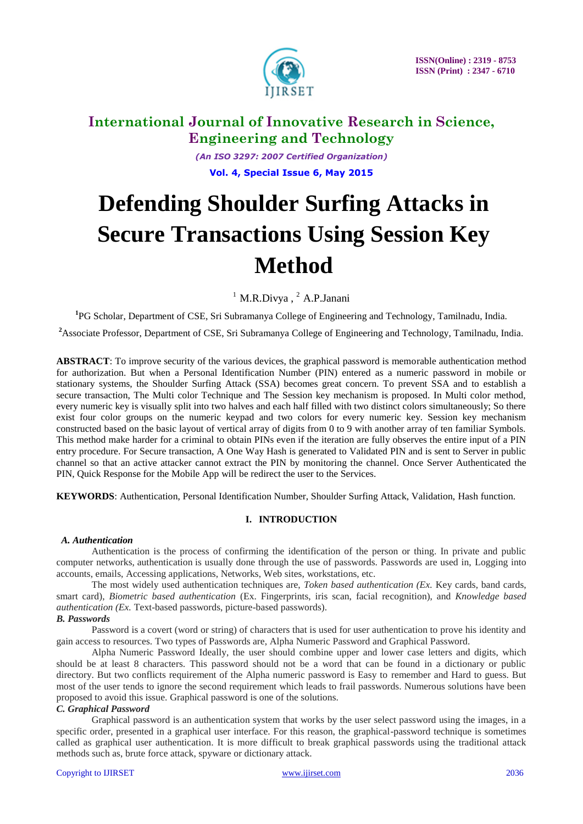

*(An ISO 3297: 2007 Certified Organization)* **Vol. 4, Special Issue 6, May 2015**

# **Defending Shoulder Surfing Attacks in Secure Transactions Using Session Key Method**

 $<sup>1</sup>$  M.R.Divya,  $<sup>2</sup>$  A.P.Janani</sup></sup>

**1** PG Scholar, Department of CSE, Sri Subramanya College of Engineering and Technology, Tamilnadu, India.

<sup>2</sup>Associate Professor, Department of CSE, Sri Subramanya College of Engineering and Technology, Tamilnadu, India.

**ABSTRACT**: To improve security of the various devices, the graphical password is memorable authentication method for authorization. But when a Personal Identification Number (PIN) entered as a numeric password in mobile or stationary systems, the Shoulder Surfing Attack (SSA) becomes great concern. To prevent SSA and to establish a secure transaction, The Multi color Technique and The Session key mechanism is proposed. In Multi color method, every numeric key is visually split into two halves and each half filled with two distinct colors simultaneously; So there exist four color groups on the numeric keypad and two colors for every numeric key. Session key mechanism constructed based on the basic layout of vertical array of digits from 0 to 9 with another array of ten familiar Symbols. This method make harder for a criminal to obtain PINs even if the iteration are fully observes the entire input of a PIN entry procedure. For Secure transaction, A One Way Hash is generated to Validated PIN and is sent to Server in public channel so that an active attacker cannot extract the PIN by monitoring the channel. Once Server Authenticated the PIN, Quick Response for the Mobile App will be redirect the user to the Services.

**KEYWORDS**: Authentication, Personal Identification Number, Shoulder Surfing Attack, Validation, Hash function.

#### **I. INTRODUCTION**

#### *A. Authentication*

Authentication is the process of confirming the identification of the person or thing. In private and public computer networks, authentication is usually done through the use of passwords. Passwords are used in, Logging into accounts, emails, Accessing applications, Networks, Web sites, workstations, etc.

The most widely used authentication techniques are, *Token based authentication (Ex.* Key cards, band cards, smart card), *Biometric based authentication* (Ex. Fingerprints, iris scan, facial recognition), and *Knowledge based authentication (Ex.* Text-based passwords, picture-based passwords).

#### *B. Passwords*

Password is a covert (word or string) of characters that is used for user authentication to prove his identity and gain access to resources. Two types of Passwords are, Alpha Numeric Password and Graphical Password.

Alpha Numeric Password Ideally, the user should combine upper and lower case letters and digits, which should be at least 8 characters. This password should not be a word that can be found in a dictionary or public directory. But two conflicts requirement of the Alpha numeric password is Easy to remember and Hard to guess. But most of the user tends to ignore the second requirement which leads to frail passwords. Numerous solutions have been proposed to avoid this issue. Graphical password is one of the solutions.

#### *C. Graphical Password*

Graphical password is an authentication system that works by the user select password using the images, in a specific order, presented in a graphical user interface. For this reason, the graphical-password technique is sometimes called as graphical user authentication. It is more difficult to break graphical passwords using the traditional attack methods such as, brute force attack, spyware or dictionary attack.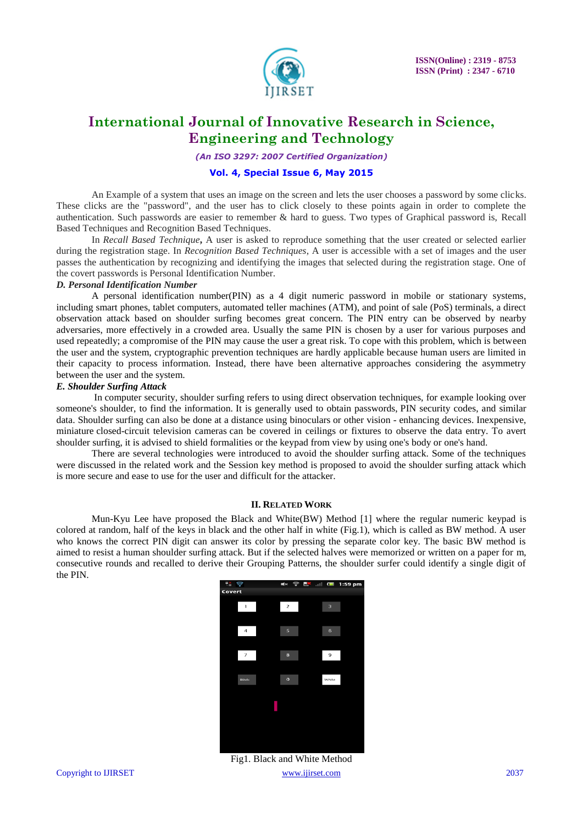

*(An ISO 3297: 2007 Certified Organization)*

#### **Vol. 4, Special Issue 6, May 2015**

An Example of a system that uses an image on the screen and lets the user chooses a password by some clicks. These clicks are the "password", and the user has to click closely to these points again in order to complete the authentication. Such passwords are easier to remember & hard to guess. Two types of Graphical password is, Recall Based Techniques and Recognition Based Techniques.

In *Recall Based Technique***,** A user is asked to reproduce something that the user created or selected earlier during the registration stage. In *Recognition Based Techniques*, A user is accessible with a set of images and the user passes the authentication by recognizing and identifying the images that selected during the registration stage. One of the covert passwords is Personal Identification Number.

#### *D. Personal Identification Number*

A personal identification number(PIN) as a 4 digit numeric password in mobile or stationary systems, including smart phones, tablet computers, automated teller machines (ATM), and point of sale (PoS) terminals, a direct observation attack based on shoulder surfing becomes great concern. The PIN entry can be observed by nearby adversaries, more effectively in a crowded area. Usually the same PIN is chosen by a user for various purposes and used repeatedly; a compromise of the PIN may cause the user a great risk. To cope with this problem, which is between the user and the system, cryptographic prevention techniques are hardly applicable because human users are limited in their capacity to process information. Instead, there have been alternative approaches considering the asymmetry between the user and the system.

#### *E. Shoulder Surfing Attack*

In computer security, shoulder surfing refers to using direct observation techniques, for example looking over someone's shoulder, to find the information. It is generally used to obtain passwords, PIN security codes, and similar data. Shoulder surfing can also be done at a distance using binoculars or other vision - enhancing devices. Inexpensive, miniature closed-circuit television cameras can be covered in ceilings or fixtures to observe the data entry. To avert shoulder surfing, it is advised to shield formalities or the keypad from view by using one's body or one's hand.

There are several technologies were introduced to avoid the shoulder surfing attack. Some of the techniques were discussed in the related work and the Session key method is proposed to avoid the shoulder surfing attack which is more secure and ease to use for the user and difficult for the attacker.

#### **II. RELATED WORK**

Mun-Kyu Lee have proposed the Black and White(BW) Method [1] where the regular numeric keypad is colored at random, half of the keys in black and the other half in white (Fig.1), which is called as BW method. A user who knows the correct PIN digit can answer its color by pressing the separate color key. The basic BW method is aimed to resist a human shoulder surfing attack. But if the selected halves were memorized or written on a paper for m, consecutive rounds and recalled to derive their Grouping Patterns, the shoulder surfer could identify a single digit of the PIN.



Copyright to IJIRSET 2037 Fig1. Black and White Method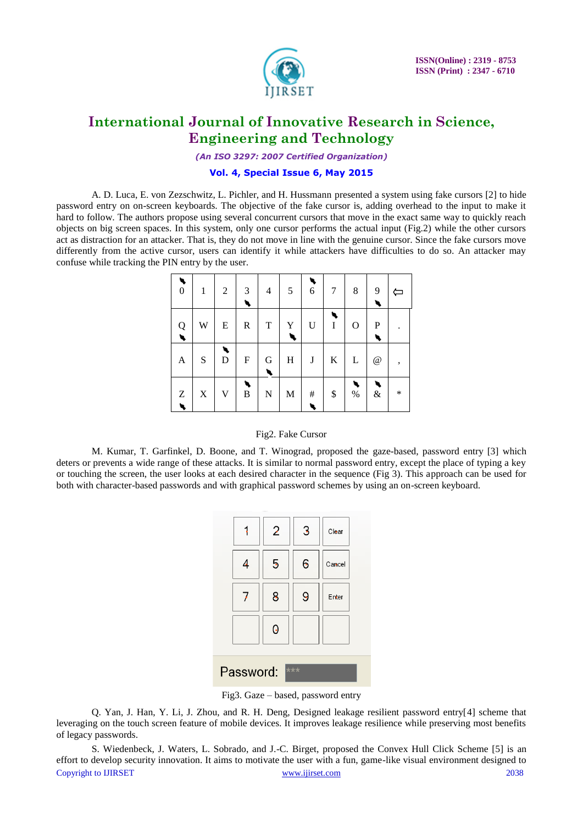

*(An ISO 3297: 2007 Certified Organization)*

#### **Vol. 4, Special Issue 6, May 2015**

A. D. Luca, E. von Zezschwitz, L. Pichler, and H. Hussmann presented a system using fake cursors [2] to hide password entry on on-screen keyboards. The objective of the fake cursor is, adding overhead to the input to make it hard to follow. The authors propose using several concurrent cursors that move in the exact same way to quickly reach objects on big screen spaces. In this system, only one cursor performs the actual input (Fig.2) while the other cursors act as distraction for an attacker. That is, they do not move in line with the genuine cursor. Since the fake cursors move differently from the active cursor, users can identify it while attackers have difficulties to do so. An attacker may confuse while tracking the PIN entry by the user.

| $\boldsymbol{0}$ | 1           | $\overline{2}$ | 3           | $\overline{4}$ | 5           | $\sqrt{6}$  | 7       | 8            | 9               |        |
|------------------|-------------|----------------|-------------|----------------|-------------|-------------|---------|--------------|-----------------|--------|
| $\mathbf{Q}$     | W           | E              | $\mathbf R$ | $\mathbf T$    | Y           | $\mathbf U$ | I       | $\mathbf O$  | P               |        |
| $\mathbf{A}$     | S           | D              | F           | G              | $H_{\rm}$   | J           | $\bf K$ | $\mathbf{L}$ | $^{\copyright}$ | ,      |
| Z                | $\mathbf X$ | $\mathbf V$    | $\mathbf B$ | $\mathbf N$    | $\mathbf M$ | $\#$        | \$      | $\%$         | $\&$            | $\ast$ |

#### Fig2. Fake Cursor

M. Kumar, T. Garfinkel, D. Boone, and T. Winograd, proposed the gaze-based, password entry [3] which deters or prevents a wide range of these attacks. It is similar to normal password entry, except the place of typing a key or touching the screen, the user looks at each desired character in the sequence (Fig 3). This approach can be used for both with character-based passwords and with graphical password schemes by using an on-screen keyboard.

|                  |   | $\overline{2}$ | 3 | Clear  |  |  |  |  |
|------------------|---|----------------|---|--------|--|--|--|--|
|                  |   | 5              | 6 | Cancel |  |  |  |  |
|                  | 7 | 8              | 9 | Enter  |  |  |  |  |
|                  |   | 0              |   |        |  |  |  |  |
| Password:<br>*** |   |                |   |        |  |  |  |  |

Fig3. Gaze – based, password entry

Q. Yan, J. Han, Y. Li, J. Zhou, and R. H. Deng, Designed leakage resilient password entry[4] scheme that leveraging on the touch screen feature of mobile devices. It improves leakage resilience while preserving most benefits of legacy passwords.

Copyright to IJIRSET 2038 S. Wiedenbeck, J. Waters, L. Sobrado, and J.-C. Birget, proposed the Convex Hull Click Scheme [5] is an effort to develop security innovation. It aims to motivate the user with a fun, game-like visual environment designed to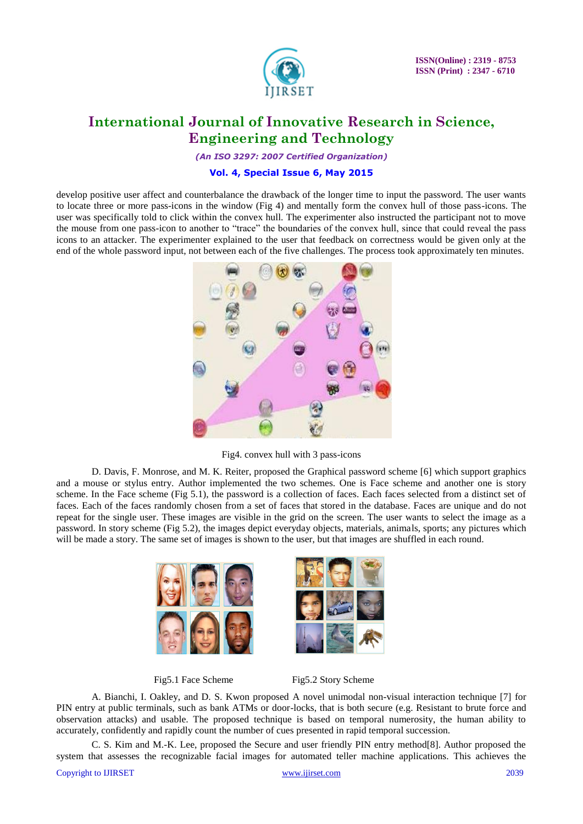

*(An ISO 3297: 2007 Certified Organization)*

#### **Vol. 4, Special Issue 6, May 2015**

develop positive user affect and counterbalance the drawback of the longer time to input the password. The user wants to locate three or more pass-icons in the window (Fig 4) and mentally form the convex hull of those pass-icons. The user was specifically told to click within the convex hull. The experimenter also instructed the participant not to move the mouse from one pass-icon to another to "trace" the boundaries of the convex hull, since that could reveal the pass icons to an attacker. The experimenter explained to the user that feedback on correctness would be given only at the end of the whole password input, not between each of the five challenges. The process took approximately ten minutes.



Fig4. convex hull with 3 pass-icons

D. Davis, F. Monrose, and M. K. Reiter, proposed the Graphical password scheme [6] which support graphics and a mouse or stylus entry. Author implemented the two schemes. One is Face scheme and another one is story scheme. In the Face scheme (Fig 5.1), the password is a collection of faces. Each faces selected from a distinct set of faces. Each of the faces randomly chosen from a set of faces that stored in the database. Faces are unique and do not repeat for the single user. These images are visible in the grid on the screen. The user wants to select the image as a password. In story scheme (Fig 5.2), the images depict everyday objects, materials, animals, sports; any pictures which will be made a story. The same set of images is shown to the user, but that images are shuffled in each round.







A. Bianchi, I. Oakley, and D. S. Kwon proposed A novel unimodal non-visual interaction technique [7] for PIN entry at public terminals, such as bank ATMs or door-locks, that is both secure (e.g. Resistant to brute force and observation attacks) and usable. The proposed technique is based on temporal numerosity, the human ability to accurately, confidently and rapidly count the number of cues presented in rapid temporal succession.

C. S. Kim and M.-K. Lee, proposed the Secure and user friendly PIN entry method[8]. Author proposed the system that assesses the recognizable facial images for automated teller machine applications. This achieves the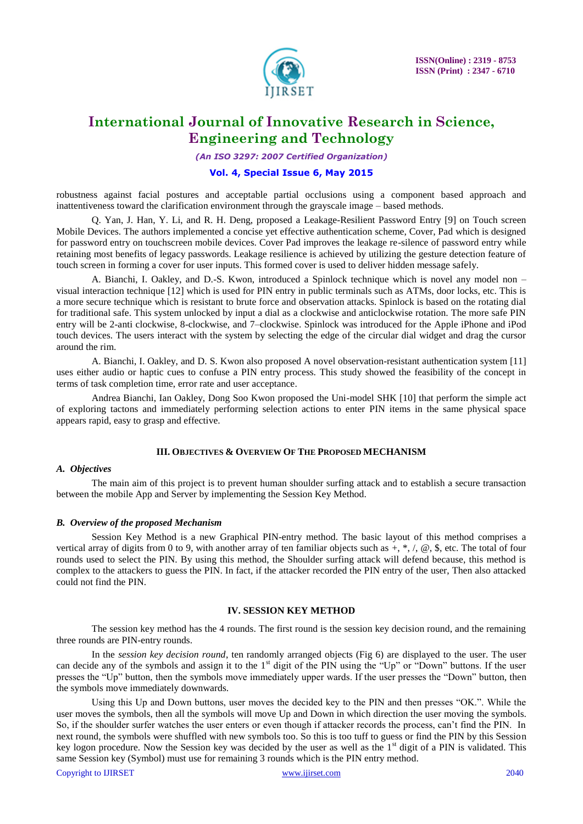

*(An ISO 3297: 2007 Certified Organization)*

#### **Vol. 4, Special Issue 6, May 2015**

robustness against facial postures and acceptable partial occlusions using a component based approach and inattentiveness toward the clarification environment through the grayscale image – based methods.

Q. Yan, J. Han, Y. Li, and R. H. Deng, proposed a Leakage-Resilient Password Entry [9] on Touch screen Mobile Devices. The authors implemented a concise yet effective authentication scheme, Cover, Pad which is designed for password entry on touchscreen mobile devices. Cover Pad improves the leakage re-silence of password entry while retaining most benefits of legacy passwords. Leakage resilience is achieved by utilizing the gesture detection feature of touch screen in forming a cover for user inputs. This formed cover is used to deliver hidden message safely.

A. Bianchi, I. Oakley, and D.-S. Kwon, introduced a Spinlock technique which is novel any model non – visual interaction technique [12] which is used for PIN entry in public terminals such as ATMs, door locks, etc. This is a more secure technique which is resistant to brute force and observation attacks. Spinlock is based on the rotating dial for traditional safe. This system unlocked by input a dial as a clockwise and anticlockwise rotation. The more safe PIN entry will be 2-anti clockwise, 8-clockwise, and 7–clockwise. Spinlock was introduced for the Apple iPhone and iPod touch devices. The users interact with the system by selecting the edge of the circular dial widget and drag the cursor around the rim.

A. Bianchi, I. Oakley, and D. S. Kwon also proposed A novel observation-resistant authentication system [11] uses either audio or haptic cues to confuse a PIN entry process. This study showed the feasibility of the concept in terms of task completion time, error rate and user acceptance.

Andrea Bianchi, Ian Oakley, Dong Soo Kwon proposed the Uni-model SHK [10] that perform the simple act of exploring tactons and immediately performing selection actions to enter PIN items in the same physical space appears rapid, easy to grasp and effective.

#### **III. OBJECTIVES & OVERVIEW OF THE PROPOSED MECHANISM**

#### *A. Objectives*

The main aim of this project is to prevent human shoulder surfing attack and to establish a secure transaction between the mobile App and Server by implementing the Session Key Method.

#### *B. Overview of the proposed Mechanism*

Session Key Method is a new Graphical PIN-entry method. The basic layout of this method comprises a vertical array of digits from 0 to 9, with another array of ten familiar objects such as  $+, *, \, \emptyset,$  \$, etc. The total of four rounds used to select the PIN. By using this method, the Shoulder surfing attack will defend because, this method is complex to the attackers to guess the PIN. In fact, if the attacker recorded the PIN entry of the user, Then also attacked could not find the PIN.

#### **IV. SESSION KEY METHOD**

The session key method has the 4 rounds. The first round is the session key decision round, and the remaining three rounds are PIN-entry rounds.

In the *session key decision round*, ten randomly arranged objects (Fig 6) are displayed to the user. The user can decide any of the symbols and assign it to the 1<sup>st</sup> digit of the PIN using the "Up" or "Down" buttons. If the user presses the "Up" button, then the symbols move immediately upper wards. If the user presses the "Down" button, then the symbols move immediately downwards.

Using this Up and Down buttons, user moves the decided key to the PIN and then presses "OK.". While the user moves the symbols, then all the symbols will move Up and Down in which direction the user moving the symbols. So, if the shoulder surfer watches the user enters or even though if attacker records the process, can"t find the PIN. In next round, the symbols were shuffled with new symbols too. So this is too tuff to guess or find the PIN by this Session key logon procedure. Now the Session key was decided by the user as well as the  $1<sup>st</sup>$  digit of a PIN is validated. This same Session key (Symbol) must use for remaining 3 rounds which is the PIN entry method.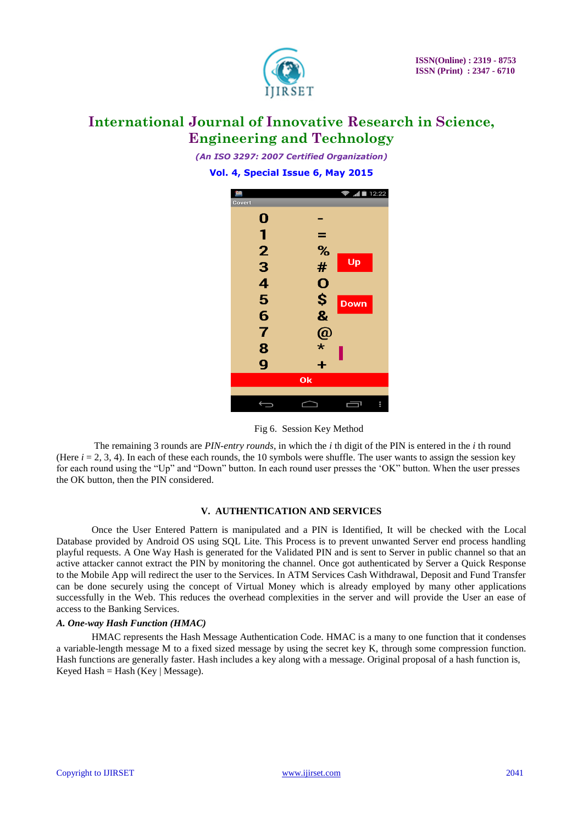

*(An ISO 3297: 2007 Certified Organization)* **Vol. 4, Special Issue 6, May 2015**



Fig 6. Session Key Method

The remaining 3 rounds are *PIN-entry rounds*, in which the *i* th digit of the PIN is entered in the *i* th round (Here  $i = 2, 3, 4$ ). In each of these each rounds, the 10 symbols were shuffle. The user wants to assign the session key for each round using the "Up" and "Down" button. In each round user presses the "OK" button. When the user presses the OK button, then the PIN considered.

#### **V. AUTHENTICATION AND SERVICES**

Once the User Entered Pattern is manipulated and a PIN is Identified, It will be checked with the Local Database provided by Android OS using SQL Lite. This Process is to prevent unwanted Server end process handling playful requests. A One Way Hash is generated for the Validated PIN and is sent to Server in public channel so that an active attacker cannot extract the PIN by monitoring the channel. Once got authenticated by Server a Quick Response to the Mobile App will redirect the user to the Services. In ATM Services Cash Withdrawal, Deposit and Fund Transfer can be done securely using the concept of Virtual Money which is already employed by many other applications successfully in the Web. This reduces the overhead complexities in the server and will provide the User an ease of access to the Banking Services.

#### *A. One-way Hash Function (HMAC)*

HMAC represents the Hash Message Authentication Code. HMAC is a many to one function that it condenses a variable-length message M to a fixed sized message by using the secret key K, through some compression function. Hash functions are generally faster. Hash includes a key along with a message. Original proposal of a hash function is,  $Keyed Hash = Hash (Key | Message)$ .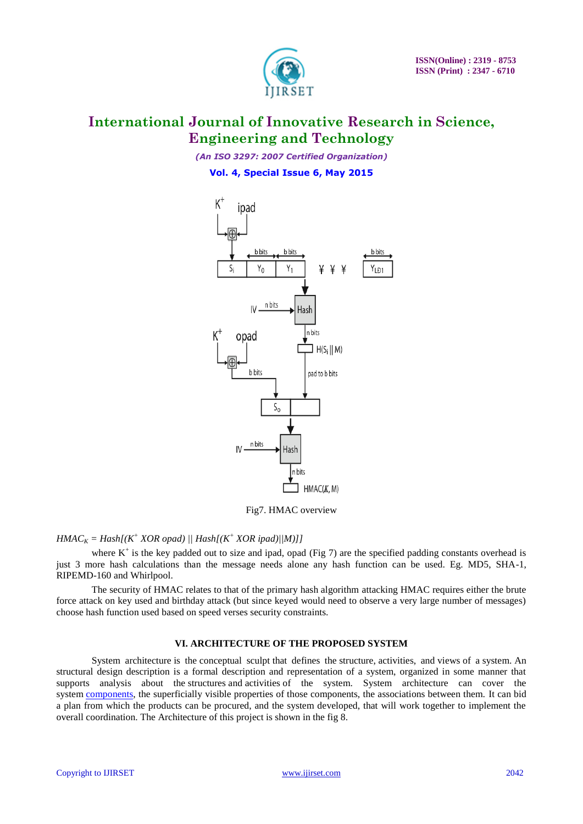

*(An ISO 3297: 2007 Certified Organization)* **Vol. 4, Special Issue 6, May 2015**



Fig7. HMAC overview

#### *HMAC*<sub>*K*</sub> = *Hash*[( $K^+$  *XOR opad)* || *Hash*[( $K^+$  *XOR ipad)*||*M*)]]

where  $K^+$  is the key padded out to size and ipad, opad (Fig 7) are the specified padding constants overhead is just 3 more hash calculations than the message needs alone any hash function can be used. Eg. MD5, SHA-1, RIPEMD-160 and Whirlpool.

The security of HMAC relates to that of the primary hash algorithm attacking HMAC requires either the brute force attack on key used and birthday attack (but since keyed would need to observe a very large number of messages) choose hash function used based on speed verses security constraints.

#### **VI. ARCHITECTURE OF THE PROPOSED SYSTEM**

System architecture is the conceptual sculpt that defines the structure, activities, and views of a system. An structural design description is a formal description and representation of a system, organized in some manner that supports analysis about the structures and activities of the system. System architecture can cover the system [components,](http://en.wikipedia.org/wiki/System) the superficially visible properties of those components, the associations between them. It can bid a plan from which the products can be procured, and the system developed, that will work together to implement the overall coordination. The Architecture of this project is shown in the fig 8.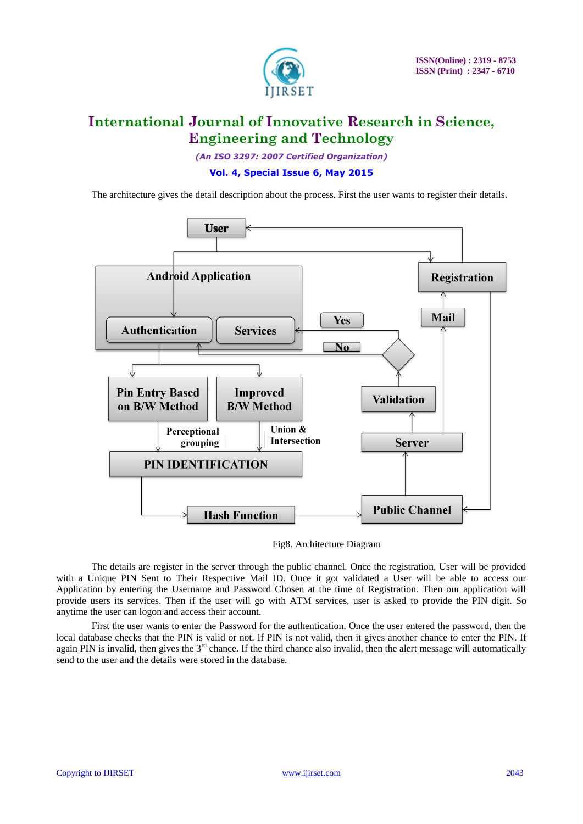

*(An ISO 3297: 2007 Certified Organization)* **Vol. 4, Special Issue 6, May 2015**

The architecture gives the detail description about the process. First the user wants to register their details.



Fig8. Architecture Diagram

The details are register in the server through the public channel. Once the registration, User will be provided with a Unique PIN Sent to Their Respective Mail ID. Once it got validated a User will be able to access our Application by entering the Username and Password Chosen at the time of Registration. Then our application will provide users its services. Then if the user will go with ATM services, user is asked to provide the PIN digit. So anytime the user can logon and access their account.

First the user wants to enter the Password for the authentication. Once the user entered the password, then the local database checks that the PIN is valid or not. If PIN is not valid, then it gives another chance to enter the PIN. If again PIN is invalid, then gives the  $3<sup>rd</sup>$  chance. If the third chance also invalid, then the alert message will automatically send to the user and the details were stored in the database.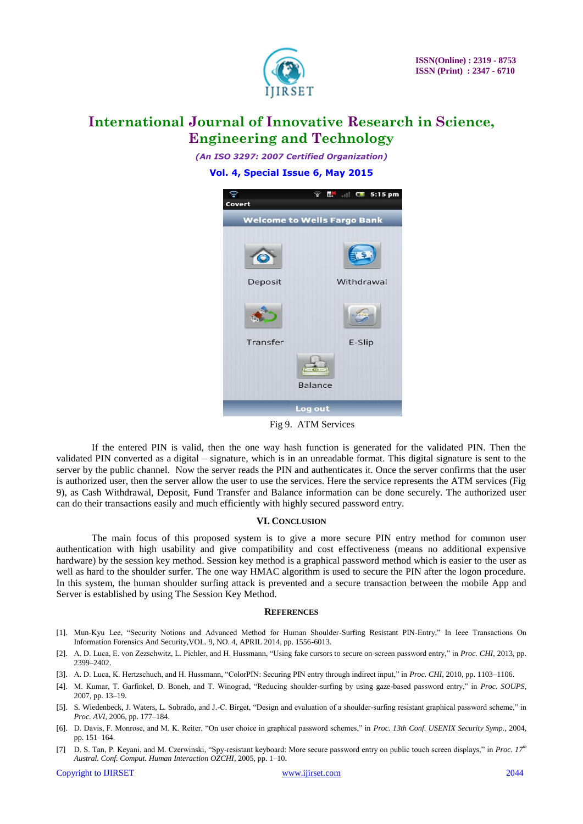

*(An ISO 3297: 2007 Certified Organization)* **Vol. 4, Special Issue 6, May 2015**



Fig 9. ATM Services

If the entered PIN is valid, then the one way hash function is generated for the validated PIN. Then the validated PIN converted as a digital – signature, which is in an unreadable format. This digital signature is sent to the server by the public channel. Now the server reads the PIN and authenticates it. Once the server confirms that the user is authorized user, then the server allow the user to use the services. Here the service represents the ATM services (Fig 9), as Cash Withdrawal, Deposit, Fund Transfer and Balance information can be done securely. The authorized user can do their transactions easily and much efficiently with highly secured password entry.

#### **VI. CONCLUSION**

The main focus of this proposed system is to give a more secure PIN entry method for common user authentication with high usability and give compatibility and cost effectiveness (means no additional expensive hardware) by the session key method. Session key method is a graphical password method which is easier to the user as well as hard to the shoulder surfer. The one way HMAC algorithm is used to secure the PIN after the logon procedure. In this system, the human shoulder surfing attack is prevented and a secure transaction between the mobile App and Server is established by using The Session Key Method.

#### **REFERENCES**

- [1]. Mun-Kyu Lee, "Security Notions and Advanced Method for Human Shoulder-Surfing Resistant PIN-Entry," In Ieee Transactions On Information Forensics And Security,VOL. 9, NO. 4, APRIL 2014, pp. 1556-6013.
- [2]. A. D. Luca, E. von Zezschwitz, L. Pichler, and H. Hussmann, "Using fake cursors to secure on-screen password entry," in *Proc. CHI*, 2013, pp. 2399–2402.
- [3]. A. D. Luca, K. Hertzschuch, and H. Hussmann, "ColorPIN: Securing PIN entry through indirect input," in *Proc. CHI*, 2010, pp. 1103–1106.
- [4]. M. Kumar, T. Garfinkel, D. Boneh, and T. Winograd, "Reducing shoulder-surfing by using gaze-based password entry," in *Proc. SOUPS*, 2007, pp. 13–19.
- [5]. S. Wiedenbeck, J. Waters, L. Sobrado, and J.-C. Birget, "Design and evaluation of a shoulder-surfing resistant graphical password scheme," in *Proc. AVI*, 2006, pp. 177–184.
- [6]. D. Davis, F. Monrose, and M. K. Reiter, "On user choice in graphical password schemes," in *Proc. 13th Conf. USENIX Security Symp.*, 2004, pp. 151–164.
- [7] D. S. Tan, P. Keyani, and M. Czerwinski, "Spy-resistant keyboard: More secure password entry on public touch screen displays," in *Proc. 17th Austral. Conf. Comput. Human Interaction OZCHI*, 2005, pp. 1–10.